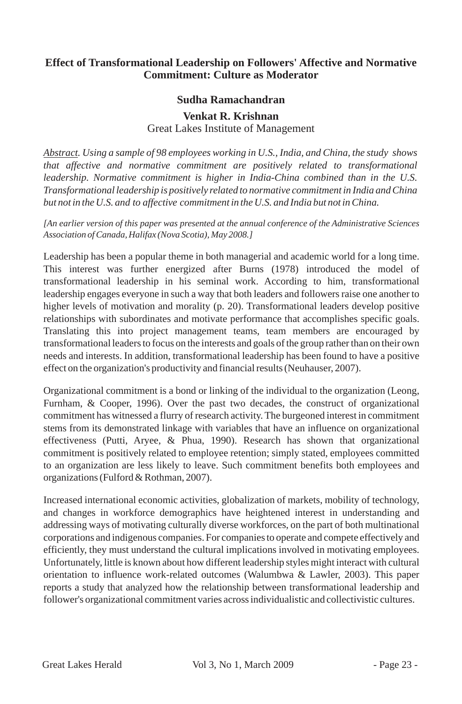# **Effect of Transformational Leadership on Followers' Affective and Normative Commitment: Culture as Moderator**

## **Sudha Ramachandran**

#### **Venkat R. Krishnan**

Great Lakes Institute of Management

*Abstract. Using a sample of 98 employees working in U.S., India, and China, the study shows that affective and normative commitment are positively related to transformational leadership. Normative commitment is higher in India-China combined than in the U.S. Transformational leadership is positively related to normative commitment in India and China but not in the U.S. and to affective commitment in the U.S. and India but not in China.*

*[An earlier version of this paper was presented at the annual conference of the Administrative Sciences Association of Canada, Halifax (Nova Scotia), May 2008.]*

Leadership has been a popular theme in both managerial and academic world for a long time. This interest was further energized after Burns (1978) introduced the model of transformational leadership in his seminal work. According to him, transformational leadership engages everyone in such a way that both leaders and followers raise one another to higher levels of motivation and morality (p. 20). Transformational leaders develop positive relationships with subordinates and motivate performance that accomplishes specific goals. Translating this into project management teams, team members are encouraged by transformational leaders to focus on the interests and goals of the group rather than on their own needs and interests. In addition, transformational leadership has been found to have a positive effect on the organization's productivity and financial results (Neuhauser, 2007).

Organizational commitment is a bond or linking of the individual to the organization (Leong, Furnham, & Cooper, 1996). Over the past two decades, the construct of organizational commitment has witnessed a flurry of research activity. The burgeoned interest in commitment stems from its demonstrated linkage with variables that have an influence on organizational effectiveness (Putti, Aryee, & Phua, 1990). Research has shown that organizational commitment is positively related to employee retention; simply stated, employees committed to an organization are less likely to leave. Such commitment benefits both employees and organizations (Fulford & Rothman, 2007).

Increased international economic activities, globalization of markets, mobility of technology, and changes in workforce demographics have heightened interest in understanding and addressing ways of motivating culturally diverse workforces, on the part of both multinational corporations and indigenous companies. For companies to operate and compete effectively and efficiently, they must understand the cultural implications involved in motivating employees. Unfortunately, little is known about how different leadership styles might interact with cultural orientation to influence work-related outcomes (Walumbwa & Lawler, 2003). This paper reports a study that analyzed how the relationship between transformational leadership and follower's organizational commitment varies across individualistic and collectivistic cultures.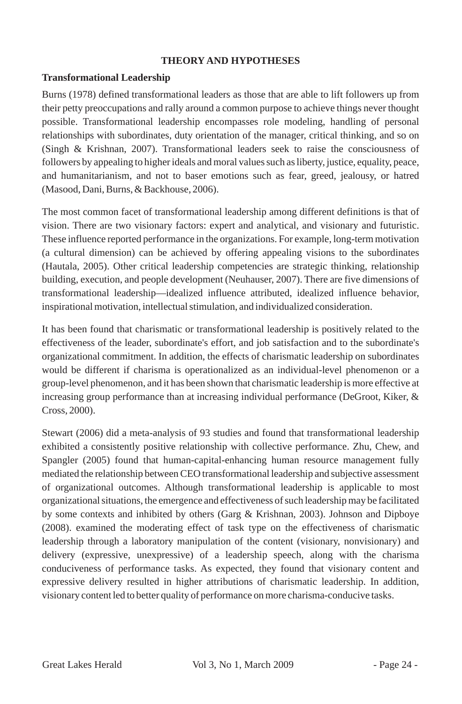### **THEORY AND HYPOTHESES**

### **Transformational Leadership**

Burns (1978) defined transformational leaders as those that are able to lift followers up from their petty preoccupations and rally around a common purpose to achieve things never thought possible. Transformational leadership encompasses role modeling, handling of personal relationships with subordinates, duty orientation of the manager, critical thinking, and so on (Singh & Krishnan, 2007). Transformational leaders seek to raise the consciousness of followers by appealing to higher ideals and moral values such as liberty, justice, equality, peace, and humanitarianism, and not to baser emotions such as fear, greed, jealousy, or hatred (Masood, Dani, Burns, & Backhouse, 2006).

The most common facet of transformational leadership among different definitions is that of vision. There are two visionary factors: expert and analytical, and visionary and futuristic. These influence reported performance in the organizations. For example, long-term motivation (a cultural dimension) can be achieved by offering appealing visions to the subordinates (Hautala, 2005). Other critical leadership competencies are strategic thinking, relationship building, execution, and people development (Neuhauser, 2007). There are five dimensions of transformational leadership—idealized influence attributed, idealized influence behavior, inspirational motivation, intellectual stimulation, and individualized consideration.

It has been found that charismatic or transformational leadership is positively related to the effectiveness of the leader, subordinate's effort, and job satisfaction and to the subordinate's organizational commitment. In addition, the effects of charismatic leadership on subordinates would be different if charisma is operationalized as an individual-level phenomenon or a group-level phenomenon, and it has been shown that charismatic leadership is more effective at increasing group performance than at increasing individual performance (DeGroot, Kiker, & Cross, 2000).

Stewart (2006) did a meta-analysis of 93 studies and found that transformational leadership exhibited a consistently positive relationship with collective performance. Zhu, Chew, and Spangler (2005) found that human-capital-enhancing human resource management fully mediated the relationship between CEO transformational leadership and subjective assessment of organizational outcomes. Although transformational leadership is applicable to most organizational situations, the emergence and effectiveness of such leadership may be facilitated by some contexts and inhibited by others (Garg & Krishnan, 2003). Johnson and Dipboye (2008). examined the moderating effect of task type on the effectiveness of charismatic leadership through a laboratory manipulation of the content (visionary, nonvisionary) and delivery (expressive, unexpressive) of a leadership speech, along with the charisma conduciveness of performance tasks. As expected, they found that visionary content and expressive delivery resulted in higher attributions of charismatic leadership. In addition, visionary content led to better quality of performance on more charisma-conducive tasks.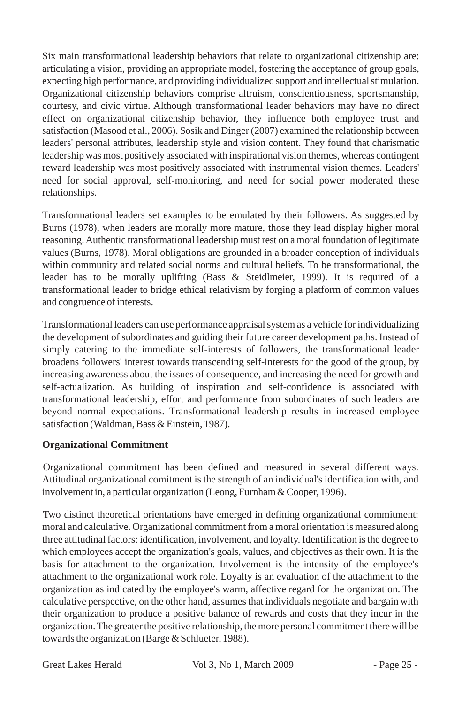Six main transformational leadership behaviors that relate to organizational citizenship are: articulating a vision, providing an appropriate model, fostering the acceptance of group goals, expecting high performance, and providing individualized support and intellectual stimulation. Organizational citizenship behaviors comprise altruism, conscientiousness, sportsmanship, courtesy, and civic virtue. Although transformational leader behaviors may have no direct effect on organizational citizenship behavior, they influence both employee trust and satisfaction (Masood et al., 2006). Sosik and Dinger (2007) examined the relationship between leaders' personal attributes, leadership style and vision content. They found that charismatic leadership was most positively associated with inspirational vision themes, whereas contingent reward leadership was most positively associated with instrumental vision themes. Leaders' need for social approval, self-monitoring, and need for social power moderated these relationships.

Transformational leaders set examples to be emulated by their followers. As suggested by Burns (1978), when leaders are morally more mature, those they lead display higher moral reasoning. Authentic transformational leadership must rest on a moral foundation of legitimate values (Burns, 1978). Moral obligations are grounded in a broader conception of individuals within community and related social norms and cultural beliefs. To be transformational, the leader has to be morally uplifting (Bass & Steidlmeier, 1999). It is required of a transformational leader to bridge ethical relativism by forging a platform of common values and congruence of interests.

Transformational leaders can use performance appraisal system as a vehicle for individualizing the development of subordinates and guiding their future career development paths. Instead of simply catering to the immediate self-interests of followers, the transformational leader broadens followers' interest towards transcending self-interests for the good of the group, by increasing awareness about the issues of consequence, and increasing the need for growth and self-actualization. As building of inspiration and self-confidence is associated with transformational leadership, effort and performance from subordinates of such leaders are beyond normal expectations. Transformational leadership results in increased employee satisfaction (Waldman, Bass & Einstein, 1987).

# **Organizational Commitment**

Organizational commitment has been defined and measured in several different ways. Attitudinal organizational comitment is the strength of an individual's identification with, and involvement in, a particular organization (Leong, Furnham & Cooper, 1996).

Two distinct theoretical orientations have emerged in defining organizational commitment: moral and calculative. Organizational commitment from a moral orientation is measured along three attitudinal factors: identification, involvement, and loyalty. Identification is the degree to which employees accept the organization's goals, values, and objectives as their own. It is the basis for attachment to the organization. Involvement is the intensity of the employee's attachment to the organizational work role. Loyalty is an evaluation of the attachment to the organization as indicated by the employee's warm, affective regard for the organization. The calculative perspective, on the other hand, assumes that individuals negotiate and bargain with their organization to produce a positive balance of rewards and costs that they incur in the organization. The greater the positive relationship, the more personal commitment there will be towards the organization (Barge & Schlueter, 1988).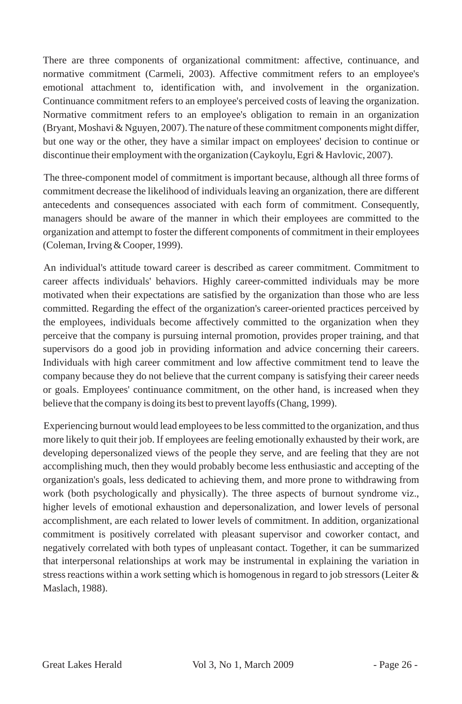There are three components of organizational commitment: affective, continuance, and normative commitment (Carmeli, 2003). Affective commitment refers to an employee's emotional attachment to, identification with, and involvement in the organization. Continuance commitment refers to an employee's perceived costs of leaving the organization. Normative commitment refers to an employee's obligation to remain in an organization (Bryant, Moshavi & Nguyen, 2007). The nature of these commitment components might differ, but one way or the other, they have a similar impact on employees' decision to continue or discontinue their employment with the organization (Caykoylu, Egri & Havlovic, 2007).

The three-component model of commitment is important because, although all three forms of commitment decrease the likelihood of individuals leaving an organization, there are different antecedents and consequences associated with each form of commitment. Consequently, managers should be aware of the manner in which their employees are committed to the organization and attempt to foster the different components of commitment in their employees (Coleman, Irving & Cooper, 1999).

An individual's attitude toward career is described as career commitment. Commitment to career affects individuals' behaviors. Highly career-committed individuals may be more motivated when their expectations are satisfied by the organization than those who are less committed. Regarding the effect of the organization's career-oriented practices perceived by the employees, individuals become affectively committed to the organization when they perceive that the company is pursuing internal promotion, provides proper training, and that supervisors do a good job in providing information and advice concerning their careers. Individuals with high career commitment and low affective commitment tend to leave the company because they do not believe that the current company is satisfying their career needs or goals. Employees' continuance commitment, on the other hand, is increased when they believe that the company is doing its best to prevent layoffs (Chang, 1999).

Experiencing burnout would lead employees to be less committed to the organization, and thus more likely to quit their job. If employees are feeling emotionally exhausted by their work, are developing depersonalized views of the people they serve, and are feeling that they are not accomplishing much, then they would probably become less enthusiastic and accepting of the organization's goals, less dedicated to achieving them, and more prone to withdrawing from work (both psychologically and physically). The three aspects of burnout syndrome viz., higher levels of emotional exhaustion and depersonalization, and lower levels of personal accomplishment, are each related to lower levels of commitment. In addition, organizational commitment is positively correlated with pleasant supervisor and coworker contact, and negatively correlated with both types of unpleasant contact. Together, it can be summarized that interpersonal relationships at work may be instrumental in explaining the variation in stress reactions within a work setting which is homogenous in regard to job stressors (Leiter  $\&$ Maslach, 1988).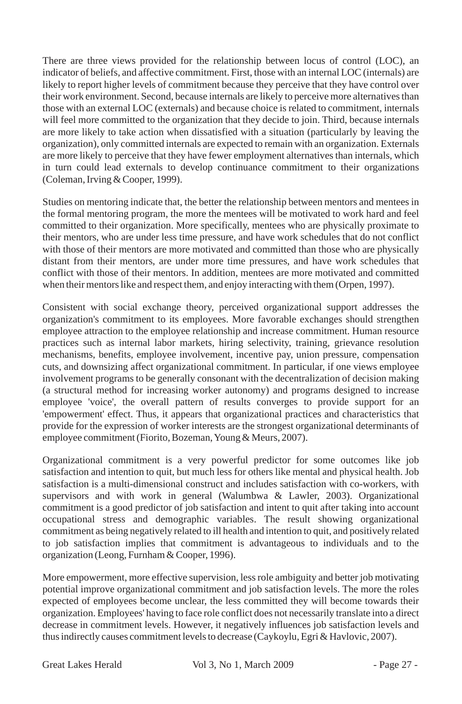There are three views provided for the relationship between locus of control (LOC), an indicator of beliefs, and affective commitment. First, those with an internal LOC (internals) are likely to report higher levels of commitment because they perceive that they have control over their work environment. Second, because internals are likely to perceive more alternatives than those with an external LOC (externals) and because choice is related to commitment, internals will feel more committed to the organization that they decide to join. Third, because internals are more likely to take action when dissatisfied with a situation (particularly by leaving the organization), only committed internals are expected to remain with an organization. Externals are more likely to perceive that they have fewer employment alternatives than internals, which in turn could lead externals to develop continuance commitment to their organizations (Coleman, Irving & Cooper, 1999).

Studies on mentoring indicate that, the better the relationship between mentors and mentees in the formal mentoring program, the more the mentees will be motivated to work hard and feel committed to their organization. More specifically, mentees who are physically proximate to their mentors, who are under less time pressure, and have work schedules that do not conflict with those of their mentors are more motivated and committed than those who are physically distant from their mentors, are under more time pressures, and have work schedules that conflict with those of their mentors. In addition, mentees are more motivated and committed when their mentors like and respect them, and enjoy interacting with them (Orpen, 1997).

Consistent with social exchange theory, perceived organizational support addresses the organization's commitment to its employees. More favorable exchanges should strengthen employee attraction to the employee relationship and increase commitment. Human resource practices such as internal labor markets, hiring selectivity, training, grievance resolution mechanisms, benefits, employee involvement, incentive pay, union pressure, compensation cuts, and downsizing affect organizational commitment. In particular, if one views employee involvement programs to be generally consonant with the decentralization of decision making (a structural method for increasing worker autonomy) and programs designed to increase employee 'voice', the overall pattern of results converges to provide support for an 'empowerment' effect. Thus, it appears that organizational practices and characteristics that provide for the expression of worker interests are the strongest organizational determinants of employee commitment (Fiorito, Bozeman, Young & Meurs, 2007).

Organizational commitment is a very powerful predictor for some outcomes like job satisfaction and intention to quit, but much less for others like mental and physical health. Job satisfaction is a multi-dimensional construct and includes satisfaction with co-workers, with supervisors and with work in general (Walumbwa & Lawler, 2003). Organizational commitment is a good predictor of job satisfaction and intent to quit after taking into account occupational stress and demographic variables. The result showing organizational commitment as being negatively related to ill health and intention to quit, and positively related to job satisfaction implies that commitment is advantageous to individuals and to the organization (Leong, Furnham & Cooper, 1996).

More empowerment, more effective supervision, less role ambiguity and better job motivating potential improve organizational commitment and job satisfaction levels. The more the roles expected of employees become unclear, the less committed they will become towards their organization. Employees' having to face role conflict does not necessarily translate into a direct decrease in commitment levels. However, it negatively influences job satisfaction levels and thus indirectly causes commitment levels to decrease (Caykoylu, Egri & Havlovic, 2007).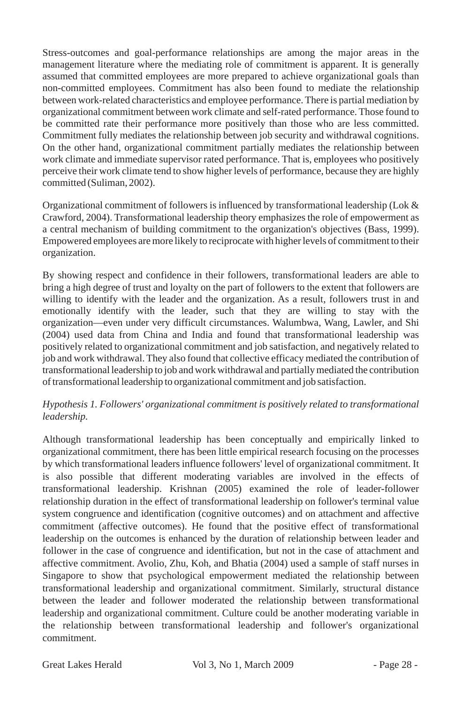Stress-outcomes and goal-performance relationships are among the major areas in the management literature where the mediating role of commitment is apparent. It is generally assumed that committed employees are more prepared to achieve organizational goals than non-committed employees. Commitment has also been found to mediate the relationship between work-related characteristics and employee performance. There is partial mediation by organizational commitment between work climate and self-rated performance. Those found to be committed rate their performance more positively than those who are less committed. Commitment fully mediates the relationship between job security and withdrawal cognitions. On the other hand, organizational commitment partially mediates the relationship between work climate and immediate supervisor rated performance. That is, employees who positively perceive their work climate tend to show higher levels of performance, because they are highly committed (Suliman, 2002).

Organizational commitment of followers is influenced by transformational leadership (Lok & Crawford, 2004). Transformational leadership theory emphasizes the role of empowerment as a central mechanism of building commitment to the organization's objectives (Bass, 1999). Empowered employees are more likely to reciprocate with higher levels of commitment to their organization.

By showing respect and confidence in their followers, transformational leaders are able to bring a high degree of trust and loyalty on the part of followers to the extent that followers are willing to identify with the leader and the organization. As a result, followers trust in and emotionally identify with the leader, such that they are willing to stay with the organization—even under very difficult circumstances. Walumbwa, Wang, Lawler, and Shi (2004) used data from China and India and found that transformational leadership was positively related to organizational commitment and job satisfaction, and negatively related to job and work withdrawal. They also found that collective efficacy mediated the contribution of transformational leadership to job and work withdrawal and partially mediated the contribution of transformational leadership to organizational commitment and job satisfaction.

# *Hypothesis 1. Followers' organizational commitment is positively related to transformational leadership.*

Although transformational leadership has been conceptually and empirically linked to organizational commitment, there has been little empirical research focusing on the processes by which transformational leaders influence followers' level of organizational commitment. It is also possible that different moderating variables are involved in the effects of transformational leadership. Krishnan (2005) examined the role of leader-follower relationship duration in the effect of transformational leadership on follower's terminal value system congruence and identification (cognitive outcomes) and on attachment and affective commitment (affective outcomes). He found that the positive effect of transformational leadership on the outcomes is enhanced by the duration of relationship between leader and follower in the case of congruence and identification, but not in the case of attachment and affective commitment. Avolio, Zhu, Koh, and Bhatia (2004) used a sample of staff nurses in Singapore to show that psychological empowerment mediated the relationship between transformational leadership and organizational commitment. Similarly, structural distance between the leader and follower moderated the relationship between transformational leadership and organizational commitment. Culture could be another moderating variable in the relationship between transformational leadership and follower's organizational commitment.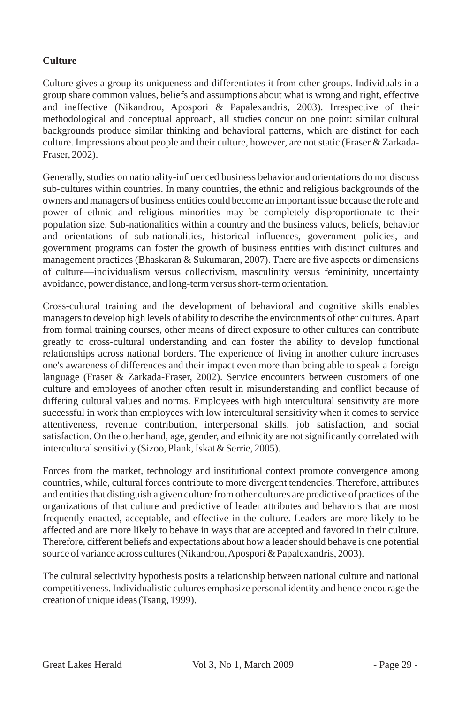# **Culture**

Culture gives a group its uniqueness and differentiates it from other groups. Individuals in a group share common values, beliefs and assumptions about what is wrong and right, effective and ineffective (Nikandrou, Apospori & Papalexandris, 2003). Irrespective of their methodological and conceptual approach, all studies concur on one point: similar cultural backgrounds produce similar thinking and behavioral patterns, which are distinct for each culture. Impressions about people and their culture, however, are not static (Fraser & Zarkada-Fraser, 2002).

Generally, studies on nationality-influenced business behavior and orientations do not discuss sub-cultures within countries. In many countries, the ethnic and religious backgrounds of the owners and managers of business entities could become an important issue because the role and power of ethnic and religious minorities may be completely disproportionate to their population size. Sub-nationalities within a country and the business values, beliefs, behavior and orientations of sub-nationalities, historical influences, government policies, and government programs can foster the growth of business entities with distinct cultures and management practices (Bhaskaran & Sukumaran, 2007). There are five aspects or dimensions of culture—individualism versus collectivism, masculinity versus femininity, uncertainty avoidance, power distance, and long-term versus short-term orientation.

Cross-cultural training and the development of behavioral and cognitive skills enables managers to develop high levels of ability to describe the environments of other cultures. Apart from formal training courses, other means of direct exposure to other cultures can contribute greatly to cross-cultural understanding and can foster the ability to develop functional relationships across national borders. The experience of living in another culture increases one's awareness of differences and their impact even more than being able to speak a foreign language (Fraser & Zarkada-Fraser, 2002). Service encounters between customers of one culture and employees of another often result in misunderstanding and conflict because of differing cultural values and norms. Employees with high intercultural sensitivity are more successful in work than employees with low intercultural sensitivity when it comes to service attentiveness, revenue contribution, interpersonal skills, job satisfaction, and social satisfaction. On the other hand, age, gender, and ethnicity are not significantly correlated with intercultural sensitivity (Sizoo, Plank, Iskat & Serrie, 2005).

Forces from the market, technology and institutional context promote convergence among countries, while, cultural forces contribute to more divergent tendencies. Therefore, attributes and entities that distinguish a given culture from other cultures are predictive of practices of the organizations of that culture and predictive of leader attributes and behaviors that are most frequently enacted, acceptable, and effective in the culture. Leaders are more likely to be affected and are more likely to behave in ways that are accepted and favored in their culture. Therefore, different beliefs and expectations about how a leader should behave is one potential source of variance across cultures (Nikandrou, Apospori & Papalexandris, 2003).

The cultural selectivity hypothesis posits a relationship between national culture and national competitiveness. Individualistic cultures emphasize personal identity and hence encourage the creation of unique ideas (Tsang, 1999).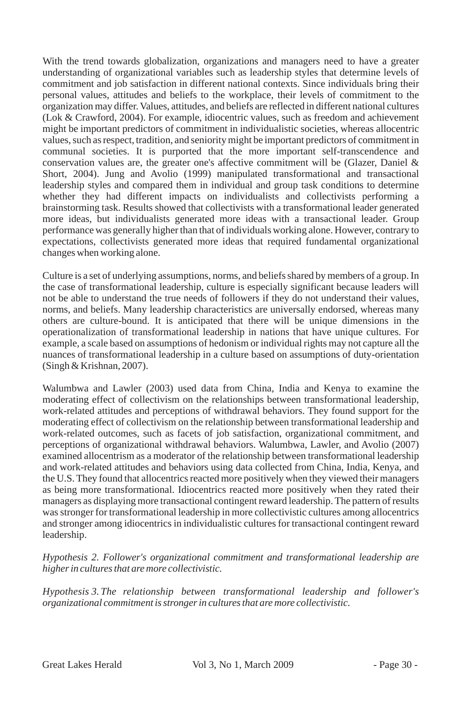With the trend towards globalization, organizations and managers need to have a greater understanding of organizational variables such as leadership styles that determine levels of commitment and job satisfaction in different national contexts. Since individuals bring their personal values, attitudes and beliefs to the workplace, their levels of commitment to the organization may differ. Values, attitudes, and beliefs are reflected in different national cultures (Lok & Crawford, 2004). For example, idiocentric values, such as freedom and achievement might be important predictors of commitment in individualistic societies, whereas allocentric values, such as respect, tradition, and seniority might be important predictors of commitment in communal societies. It is purported that the more important self-transcendence and conservation values are, the greater one's affective commitment will be (Glazer, Daniel & Short, 2004). Jung and Avolio (1999) manipulated transformational and transactional leadership styles and compared them in individual and group task conditions to determine whether they had different impacts on individualists and collectivists performing a brainstorming task. Results showed that collectivists with a transformational leader generated more ideas, but individualists generated more ideas with a transactional leader. Group performance was generally higher than that of individuals working alone. However, contrary to expectations, collectivists generated more ideas that required fundamental organizational changes when working alone.

Culture is a set of underlying assumptions, norms, and beliefs shared by members of a group. In the case of transformational leadership, culture is especially significant because leaders will not be able to understand the true needs of followers if they do not understand their values, norms, and beliefs. Many leadership characteristics are universally endorsed, whereas many others are culture-bound. It is anticipated that there will be unique dimensions in the operationalization of transformational leadership in nations that have unique cultures. For example, a scale based on assumptions of hedonism or individual rights may not capture all the nuances of transformational leadership in a culture based on assumptions of duty-orientation (Singh & Krishnan, 2007).

Walumbwa and Lawler (2003) used data from China, India and Kenya to examine the moderating effect of collectivism on the relationships between transformational leadership, work-related attitudes and perceptions of withdrawal behaviors. They found support for the moderating effect of collectivism on the relationship between transformational leadership and work-related outcomes, such as facets of job satisfaction, organizational commitment, and perceptions of organizational withdrawal behaviors. Walumbwa, Lawler, and Avolio (2007) examined allocentrism as a moderator of the relationship between transformational leadership and work-related attitudes and behaviors using data collected from China, India, Kenya, and the U.S. They found that allocentrics reacted more positively when they viewed their managers as being more transformational. Idiocentrics reacted more positively when they rated their managers as displaying more transactional contingent reward leadership. The pattern of results was stronger for transformational leadership in more collectivistic cultures among allocentrics and stronger among idiocentrics in individualistic cultures for transactional contingent reward leadership.

*Hypothesis 2. Follower's organizational commitment and transformational leadership are higher in cultures that are more collectivistic.*

*Hypothesis 3.The relationship between transformational leadership and follower's organizational commitment is stronger in cultures that are more collectivistic.*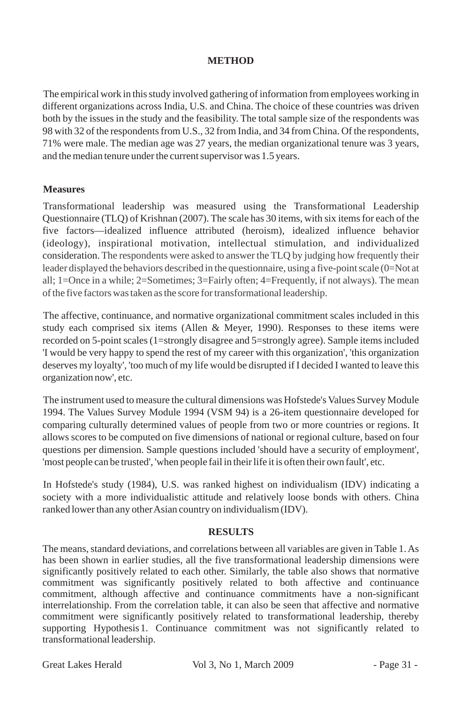# **METHOD**

The empirical work in this study involved gathering of information from employees working in different organizations across India, U.S. and China. The choice of these countries was driven both by the issues in the study and the feasibility. The total sample size of the respondents was 98 with 32 of the respondents from U.S., 32 from India, and 34 from China. Of the respondents, 71% were male. The median age was 27 years, the median organizational tenure was 3 years, and the median tenure under the current supervisor was 1.5 years.

### **Measures**

Transformational leadership was measured using the Transformational Leadership Questionnaire (TLQ) of Krishnan (2007). The scale has 30 items, with six items for each of the five factors—idealized influence attributed (heroism), idealized influence behavior (ideology), inspirational motivation, intellectual stimulation, and individualized consideration. The respondents were asked to answer the TLQ by judging how frequently their leader displayed the behaviors described in the questionnaire, using a five-point scale (0=Not at all; 1=Once in a while; 2=Sometimes; 3=Fairly often; 4=Frequently, if not always). The mean of the five factors was taken as the score for transformational leadership.

The affective, continuance, and normative organizational commitment scales included in this study each comprised six items (Allen & Meyer, 1990). Responses to these items were recorded on 5-point scales (1=strongly disagree and 5=strongly agree). Sample items included 'I would be very happy to spend the rest of my career with this organization', 'this organization deserves my loyalty', 'too much of my life would be disrupted if I decided I wanted to leave this organization now', etc.

The instrument used to measure the cultural dimensions was Hofstede's Values Survey Module 1994. The Values Survey Module 1994 (VSM 94) is a 26-item questionnaire developed for comparing culturally determined values of people from two or more countries or regions. It allows scores to be computed on five dimensions of national or regional culture, based on four questions per dimension. Sample questions included 'should have a security of employment', 'most people can be trusted', 'when people fail in their life it is often their own fault', etc.

In Hofstede's study (1984), U.S. was ranked highest on individualism (IDV) indicating a society with a more individualistic attitude and relatively loose bonds with others. China ranked lower than any other Asian country on individualism (IDV).

### **RESULTS**

The means, standard deviations, and correlations between all variables are given in Table 1. As has been shown in earlier studies, all the five transformational leadership dimensions were significantly positively related to each other. Similarly, the table also shows that normative commitment was significantly positively related to both affective and continuance commitment, although affective and continuance commitments have a non-significant interrelationship. From the correlation table, it can also be seen that affective and normative commitment were significantly positively related to transformational leadership, thereby supporting Hypothesis1. Continuance commitment was not significantly related to transformational leadership.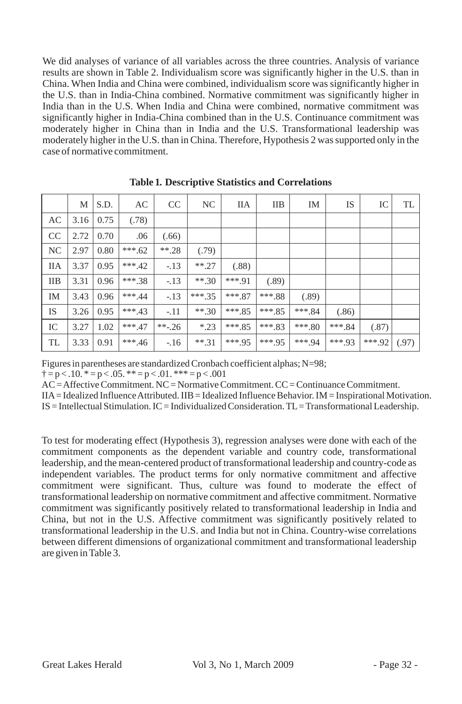We did analyses of variance of all variables across the three countries. Analysis of variance results are shown in Table 2. Individualism score was significantly higher in the U.S. than in China. When India and China were combined, individualism score was significantly higher in the U.S. than in India-China combined. Normative commitment was significantly higher in India than in the U.S. When India and China were combined, normative commitment was significantly higher in India-China combined than in the U.S. Continuance commitment was moderately higher in China than in India and the U.S. Transformational leadership was moderately higher in the U.S. than in China. Therefore, Hypothesis 2 was supported only in the case of normative commitment.

|            | М    | S.D. | AC       | CC       | NC       | <b>IIA</b> | IIB      | IM       | IS       | IC       | TL    |
|------------|------|------|----------|----------|----------|------------|----------|----------|----------|----------|-------|
| AC         | 3.16 | 0.75 | (.78)    |          |          |            |          |          |          |          |       |
| CC         | 2.72 | 0.70 | .06      | (.66)    |          |            |          |          |          |          |       |
| NC         | 2.97 | 0.80 | $***.62$ | $***.28$ | (.79)    |            |          |          |          |          |       |
| <b>IIA</b> | 3.37 | 0.95 | $***.42$ | $-13$    | $***.27$ | (.88)      |          |          |          |          |       |
| <b>IIB</b> | 3.31 | 0.96 | $***38$  | $-.13$   | $**30$   | $***91$    | (.89)    |          |          |          |       |
| IM         | 3.43 | 0.96 | $***.44$ | $-.13$   | $***35$  | $***.87$   | $***.88$ | (.89)    |          |          |       |
| IS         | 3.26 | 0.95 | ***.43   | $-.11$   | $***.30$ | $***.85$   | $***85$  | $***.84$ | (.86)    |          |       |
| IC         | 3.27 | 1.02 | $***.47$ | $***-26$ | $*.23$   | $***.85$   | ***.83   | $***.80$ | $***.84$ | (.87)    |       |
| TL         | 3.33 | 0.91 | $***.46$ | $-16$    | $***.31$ | $***.95$   | $***.95$ | $***94$  | ***.93   | $***.92$ | (.97) |

**Table 1. Descriptive Statistics and Correlations**

Figures in parentheses are standardized Cronbach coefficient alphas; N=98;

 $\uparrow$  = p < .10.  $\uparrow$  = p < .05.  $\uparrow \uparrow$  = p < .01.  $\uparrow \uparrow \uparrow \uparrow$  = p < .001

AC = Affective Commitment. NC = Normative Commitment. CC = Continuance Commitment.

IIA= Idealized Influence Attributed. IIB = Idealized Influence Behavior. IM = Inspirational Motivation.

IS = Intellectual Stimulation. IC = Individualized Consideration. TL= Transformational Leadership.

To test for moderating effect (Hypothesis 3), regression analyses were done with each of the commitment components as the dependent variable and country code, transformational leadership, and the mean-centered product of transformational leadership and country-code as independent variables. The product terms for only normative commitment and affective commitment were significant. Thus, culture was found to moderate the effect of transformational leadership on normative commitment and affective commitment. Normative commitment was significantly positively related to transformational leadership in India and China, but not in the U.S. Affective commitment was significantly positively related to transformational leadership in the U.S. and India but not in China. Country-wise correlations between different dimensions of organizational commitment and transformational leadership are given in Table 3.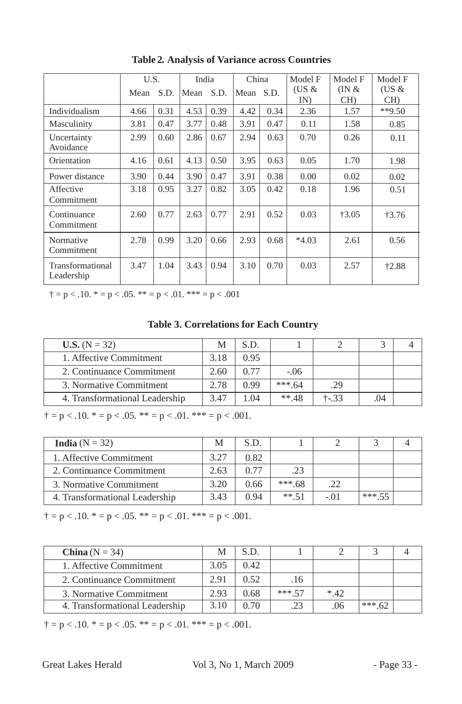|                                | Mean | China<br>U.S.<br>India<br>S.D.<br>S.D.<br>Mean<br>Mean S.D. |      |      | Model F<br>$(US \&$<br>IN | Model F<br>$($ IN &<br>CH) | Model F<br>(US $\&$<br>CH) |         |          |
|--------------------------------|------|-------------------------------------------------------------|------|------|---------------------------|----------------------------|----------------------------|---------|----------|
| Individualism                  | 4.66 | 0.31                                                        | 4.53 | 0.39 | 4.42                      | 0.34                       | 2.36                       | 1.57    | $**9.50$ |
| Masculinity                    | 3.81 | 0.47                                                        | 3.77 | 0.48 | 3.91                      | 0.47                       | 0.11                       | 1.58    | 0.85     |
| Uncertainty<br>Avoidance       | 2.99 | 0.60                                                        | 2.86 | 0.67 | 2.94                      | 0.63                       | 0.70                       | 0.26    | 0.11     |
| Orientation                    | 4.16 | 0.61                                                        | 4.13 | 0.50 | 3.95                      | 0.63                       | 0.05                       | 1.70    | 1.98     |
| Power distance                 | 3.90 | 0.44                                                        | 3.90 | 0.47 | 3.91                      | 0.38                       | 0.00                       | 0.02    | 0.02     |
| Affective<br>Commitment        | 3.18 | 0.95                                                        | 3.27 | 0.82 | 3.05                      | 0.42                       | 0.18                       | 1.96    | 0.51     |
| Continuance<br>Commitment      | 2.60 | 0.77                                                        | 2.63 | 0.77 | 2.91                      | 0.52                       | 0.03                       | $+3.05$ | $+3.76$  |
| Normative<br>Commitment        | 2.78 | 0.99                                                        | 3.20 | 0.66 | 2.93                      | 0.68                       | $*4.03$                    | 2.61    | 0.56     |
| Transformational<br>Leadership | 3.47 | 1.04                                                        | 3.43 | 0.94 | 3.10                      | 0.70                       | 0.03                       | 2.57    | $+2.88$  |

**Table 2. Analysis of Variance across Countries**

 $\dagger$  = p < .10.  $*$  = p < .05.  $**$  = p < .01.  $***$  = p < .001

**Table 3. Correlations for Each Country**

| <b>U.S.</b> $(N = 32)$         |      | S.D. |          |         |     |  |
|--------------------------------|------|------|----------|---------|-----|--|
| 1. Affective Commitment        | 3.18 | 0.95 |          |         |     |  |
| 2. Continuance Commitment      | 2.60 | 0.77 | $-.06$   |         |     |  |
| 3. Normative Commitment        | 2.78 | 0.99 | *** $64$ | .29     |     |  |
| 4. Transformational Leadership | 3.47 | LO4  | $**.48$  | $+33.3$ | .04 |  |

 $\dagger$  = p < .10.  $*$  = p < .05.  $**$  = p < .01.  $***$  = p < .001.

| <b>India</b> $(N = 32)$        | M    | S.D. |          |      |        |  |
|--------------------------------|------|------|----------|------|--------|--|
| 1. Affective Commitment        | 3.27 | 0.82 |          |      |        |  |
| 2. Continuance Commitment      | 2.63 | 0.77 | .23      |      |        |  |
| 3. Normative Commitment        | 3.20 | 0.66 | ***.68   | .22  |        |  |
| 4. Transformational Leadership | 3.43 | 0.94 | $***$ 51 | - 01 | *** 55 |  |

 $\dagger$  = p < .10.  $*$  = p < .05.  $**$  = p < .01.  $***$  = p < .001.

| China ( $N = 34$ )             |      | S.D.  |        |       |        |  |
|--------------------------------|------|-------|--------|-------|--------|--|
| 1. Affective Commitment        | 3.05 | 0.42. |        |       |        |  |
| 2. Continuance Commitment      | 2.91 | 0.52  | .16    |       |        |  |
| 3. Normative Commitment        | 2.93 | 0.68  | *** 57 | $*42$ |        |  |
| 4. Transformational Leadership | 3.10 | 0.70  | .23    | .06   | *** 62 |  |

 $\dagger$  = p < .10.  $*$  = p < .05.  $**$  = p < .01.  $***$  = p < .001.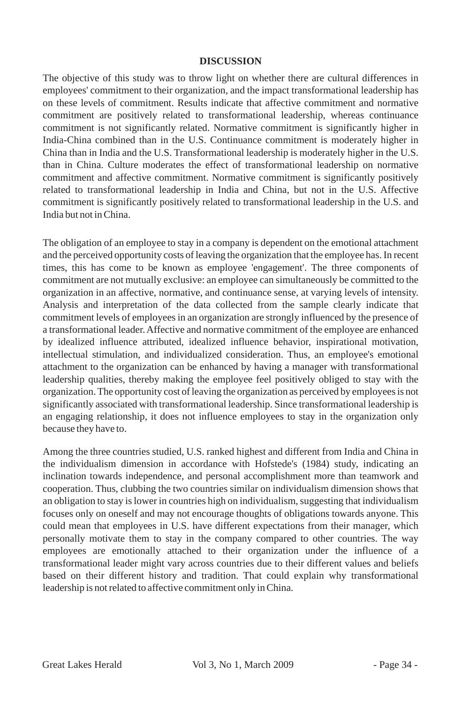### **DISCUSSION**

The objective of this study was to throw light on whether there are cultural differences in employees' commitment to their organization, and the impact transformational leadership has on these levels of commitment. Results indicate that affective commitment and normative commitment are positively related to transformational leadership, whereas continuance commitment is not significantly related. Normative commitment is significantly higher in India-China combined than in the U.S. Continuance commitment is moderately higher in China than in India and the U.S. Transformational leadership is moderately higher in the U.S. than in China. Culture moderates the effect of transformational leadership on normative commitment and affective commitment. Normative commitment is significantly positively related to transformational leadership in India and China, but not in the U.S. Affective commitment is significantly positively related to transformational leadership in the U.S. and India but not in China.

The obligation of an employee to stay in a company is dependent on the emotional attachment and the perceived opportunity costs of leaving the organization that the employee has. In recent times, this has come to be known as employee 'engagement'. The three components of commitment are not mutually exclusive: an employee can simultaneously be committed to the organization in an affective, normative, and continuance sense, at varying levels of intensity. Analysis and interpretation of the data collected from the sample clearly indicate that commitment levels of employees in an organization are strongly influenced by the presence of a transformational leader. Affective and normative commitment of the employee are enhanced by idealized influence attributed, idealized influence behavior, inspirational motivation, intellectual stimulation, and individualized consideration. Thus, an employee's emotional attachment to the organization can be enhanced by having a manager with transformational leadership qualities, thereby making the employee feel positively obliged to stay with the organization. The opportunity cost of leaving the organization as perceived by employees is not significantly associated with transformational leadership. Since transformational leadership is an engaging relationship, it does not influence employees to stay in the organization only because they have to.

Among the three countries studied, U.S. ranked highest and different from India and China in the individualism dimension in accordance with Hofstede's (1984) study, indicating an inclination towards independence, and personal accomplishment more than teamwork and cooperation. Thus, clubbing the two countries similar on individualism dimension shows that an obligation to stay is lower in countries high on individualism, suggesting that individualism focuses only on oneself and may not encourage thoughts of obligations towards anyone. This could mean that employees in U.S. have different expectations from their manager, which personally motivate them to stay in the company compared to other countries. The way employees are emotionally attached to their organization under the influence of a transformational leader might vary across countries due to their different values and beliefs based on their different history and tradition. That could explain why transformational leadership is not related to affective commitment only in China.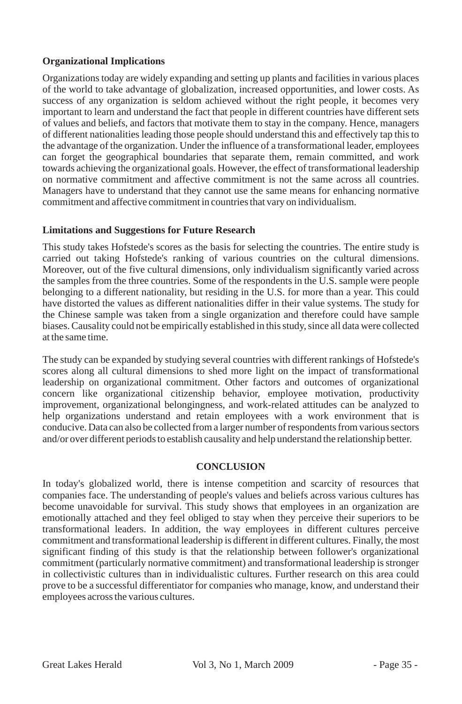# **Organizational Implications**

Organizations today are widely expanding and setting up plants and facilities in various places of the world to take advantage of globalization, increased opportunities, and lower costs. As success of any organization is seldom achieved without the right people, it becomes very important to learn and understand the fact that people in different countries have different sets of values and beliefs, and factors that motivate them to stay in the company. Hence, managers of different nationalities leading those people should understand this and effectively tap this to the advantage of the organization. Under the influence of a transformational leader, employees can forget the geographical boundaries that separate them, remain committed, and work towards achieving the organizational goals. However, the effect of transformational leadership on normative commitment and affective commitment is not the same across all countries. Managers have to understand that they cannot use the same means for enhancing normative commitment and affective commitment in countries that vary on individualism.

### **Limitations and Suggestions for Future Research**

This study takes Hofstede's scores as the basis for selecting the countries. The entire study is carried out taking Hofstede's ranking of various countries on the cultural dimensions. Moreover, out of the five cultural dimensions, only individualism significantly varied across the samples from the three countries. Some of the respondents in the U.S. sample were people belonging to a different nationality, but residing in the U.S. for more than a year. This could have distorted the values as different nationalities differ in their value systems. The study for the Chinese sample was taken from a single organization and therefore could have sample biases. Causality could not be empirically established in this study, since all data were collected at the same time.

The study can be expanded by studying several countries with different rankings of Hofstede's scores along all cultural dimensions to shed more light on the impact of transformational leadership on organizational commitment. Other factors and outcomes of organizational concern like organizational citizenship behavior, employee motivation, productivity improvement, organizational belongingness, and work-related attitudes can be analyzed to help organizations understand and retain employees with a work environment that is conducive. Data can also be collected from a larger number of respondents from various sectors and/or over different periods to establish causality and help understand the relationship better.

### **CONCLUSION**

In today's globalized world, there is intense competition and scarcity of resources that companies face. The understanding of people's values and beliefs across various cultures has become unavoidable for survival. This study shows that employees in an organization are emotionally attached and they feel obliged to stay when they perceive their superiors to be transformational leaders. In addition, the way employees in different cultures perceive commitment and transformational leadership is different in different cultures. Finally, the most significant finding of this study is that the relationship between follower's organizational commitment (particularly normative commitment) and transformational leadership is stronger in collectivistic cultures than in individualistic cultures. Further research on this area could prove to be a successful differentiator for companies who manage, know, and understand their employees across the various cultures.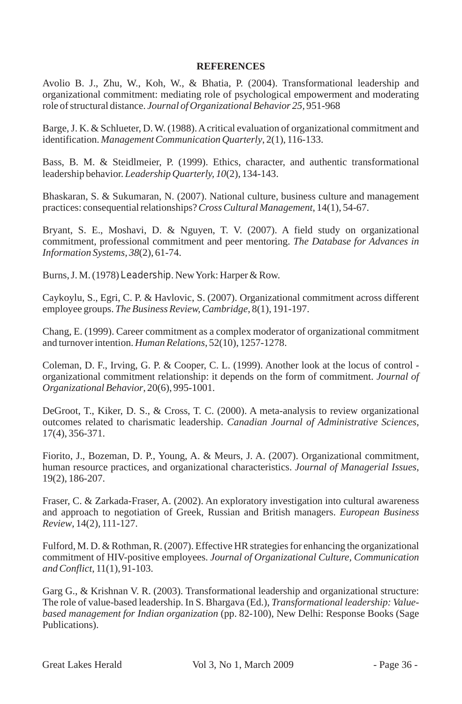### **REFERENCES**

Avolio B. J., Zhu, W., Koh, W., & Bhatia, P. (2004). Transformational leadership and organizational commitment: mediating role of psychological empowerment and moderating role of structural distance. *Journal of Organizational Behavior 25,* 951-968

Barge, J. K. & Schlueter, D. W. (1988). Acritical evaluation of organizational commitment and identification. *Management Communication Quarterly*, 2(1), 116-133.

Bass, B. M. & Steidlmeier, P. (1999). Ethics, character, and authentic transformational leadership behavior. *Leadership Quarterly, 10*(2), 134-143.

Bhaskaran, S. & Sukumaran, N. (2007). National culture, business culture and management practices: consequential relationships? *Cross Cultural Management*, 14(1), 54-67.

Bryant, S. E., Moshavi, D. & Nguyen, T. V. (2007). A field study on organizational commitment, professional commitment and peer mentoring. *The Database for Advances in Information Systems, 38*(2), 61-74.

Burns, J. M. (1978) *Leadership*. New York: Harper & Row.

Caykoylu, S., Egri, C. P. & Havlovic, S. (2007). Organizational commitment across different employee groups. *The Business Review, Cambridge*, 8(1), 191-197.

Chang, E. (1999). Career commitment as a complex moderator of organizational commitment and turnover intention. *Human Relations*, 52(10), 1257-1278.

Coleman, D. F., Irving, G. P. & Cooper, C. L. (1999). Another look at the locus of control organizational commitment relationship: it depends on the form of commitment. *Journal of Organizational Behavior*, 20(6), 995-1001.

DeGroot, T., Kiker, D. S., & Cross, T. C. (2000). A meta-analysis to review organizational outcomes related to charismatic leadership. *Canadian Journal of Administrative Sciences*, 17(4), 356-371.

Fiorito, J., Bozeman, D. P., Young, A. & Meurs, J. A. (2007). Organizational commitment, human resource practices, and organizational characteristics. *Journal of Managerial Issues*, 19(2), 186-207.

Fraser, C. & Zarkada-Fraser, A. (2002). An exploratory investigation into cultural awareness and approach to negotiation of Greek, Russian and British managers. *European Business Review*, 14(2), 111-127.

Fulford, M. D. & Rothman, R. (2007). Effective HR strategies for enhancing the organizational commitment of HIV-positive employees. *Journal of Organizational Culture, Communication and Conflict*, 11(1), 91-103.

Garg G., & Krishnan V. R. (2003). Transformational leadership and organizational structure: The role of value-based leadership. In S. Bhargava (Ed.), *Transformational leadership: Valuebased management for Indian organization* (pp. 82-100), New Delhi: Response Books (Sage Publications).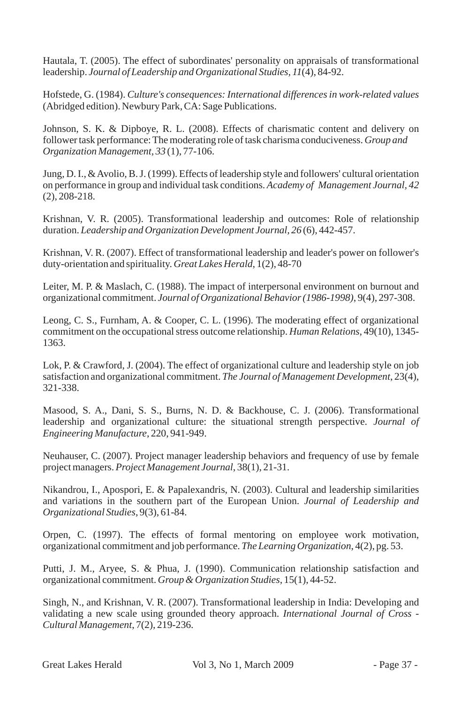Hautala, T. (2005). The effect of subordinates' personality on appraisals of transformational leadership. *Journal of Leadership and Organizational Studies, 11*(4), 84-92.

Hofstede, G. (1984). *Culture's consequences: International differences in work-related values*  (Abridged edition). Newbury Park, CA: Sage Publications.

Johnson, S. K. & Dipboye, R. L. (2008). Effects of charismatic content and delivery on follower task performance: The moderating role of task charisma conduciveness. *Group and Organization Management, 33* (1), 77-106.

Jung, D. I., & Avolio, B. J. (1999). Effects of leadership style and followers' cultural orientation on performance in group and individual task conditions. *Academy of Management Journal, 42* (2), 208-218.

Krishnan, V. R. (2005). Transformational leadership and outcomes: Role of relationship duration. *Leadership and Organization Development Journal, 26* (6), 442-457.

Krishnan, V. R. (2007). Effect of transformational leadership and leader's power on follower's duty-orientation and spirituality. *Great Lakes Herald*, 1(2), 48-70

Leiter, M. P. & Maslach, C. (1988). The impact of interpersonal environment on burnout and organizational commitment. *Journal of Organizational Behavior (1986-1998)*, 9(4), 297-308.

Leong, C. S., Furnham, A. & Cooper, C. L. (1996). The moderating effect of organizational commitment on the occupational stress outcome relationship. *Human Relations*, 49(10), 1345- 1363.

Lok, P. & Crawford, J. (2004). The effect of organizational culture and leadership style on job satisfaction and organizational commitment. *The Journal of Management Development*, 23(4), 321-338.

Masood, S. A., Dani, S. S., Burns, N. D. & Backhouse, C. J. (2006). Transformational leadership and organizational culture: the situational strength perspective. *Journal of Engineering Manufacture*, 220, 941-949.

Neuhauser, C. (2007). Project manager leadership behaviors and frequency of use by female project managers. *Project Management Journal*, 38(1), 21-31.

Nikandrou, I., Apospori, E. & Papalexandris, N. (2003). Cultural and leadership similarities and variations in the southern part of the European Union. *Journal of Leadership and Organizational Studies*, 9(3), 61-84.

Orpen, C. (1997). The effects of formal mentoring on employee work motivation, organizational commitment and job performance. *The Learning Organization*, 4(2), pg. 53.

Putti, J. M., Aryee, S. & Phua, J. (1990). Communication relationship satisfaction and organizational commitment. *Group & Organization Studies*, 15(1), 44-52.

Singh, N., and Krishnan, V. R. (2007). Transformational leadership in India: Developing and validating a new scale using grounded theory approach. *International Journal of Cross - Cultural Management*, 7(2), 219-236.